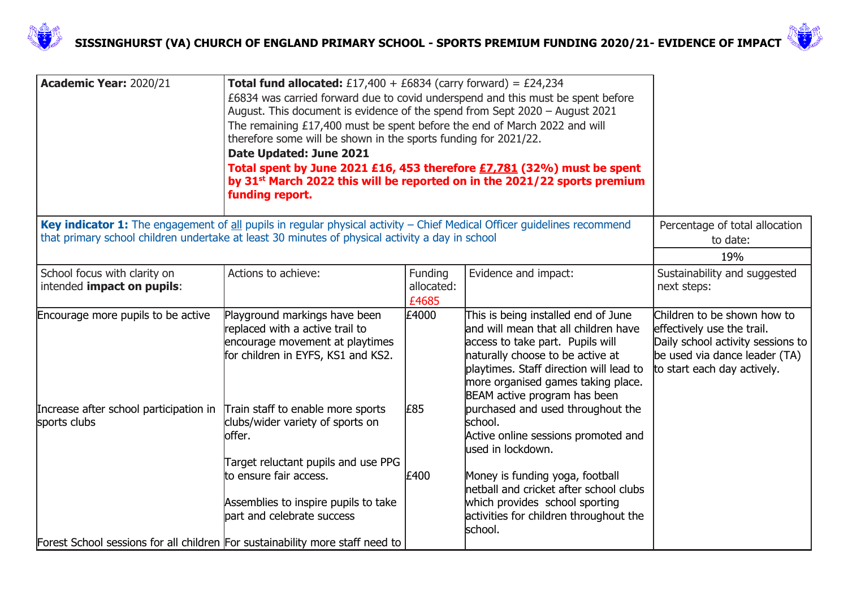



| Academic Year: 2020/21                                                                                                                                                                                                       | <b>Total fund allocated:</b> £17,400 + £6834 (carry forward) = £24,234<br>£6834 was carried forward due to covid underspend and this must be spent before<br>August. This document is evidence of the spend from Sept 2020 - August 2021<br>The remaining £17,400 must be spent before the end of March 2022 and will<br>therefore some will be shown in the sports funding for 2021/22.<br>Date Updated: June 2021<br>Total spent by June 2021 £16, 453 therefore £7,781 (32%) must be spent<br>by 31 <sup>st</sup> March 2022 this will be reported on in the 2021/22 sports premium<br>funding report. |                                |                                                                                                                                                                                                                                                                       |                                                                                                                                                                |
|------------------------------------------------------------------------------------------------------------------------------------------------------------------------------------------------------------------------------|-----------------------------------------------------------------------------------------------------------------------------------------------------------------------------------------------------------------------------------------------------------------------------------------------------------------------------------------------------------------------------------------------------------------------------------------------------------------------------------------------------------------------------------------------------------------------------------------------------------|--------------------------------|-----------------------------------------------------------------------------------------------------------------------------------------------------------------------------------------------------------------------------------------------------------------------|----------------------------------------------------------------------------------------------------------------------------------------------------------------|
| Key indicator 1: The engagement of all pupils in regular physical activity $-$ Chief Medical Officer guidelines recommend<br>that primary school children undertake at least 30 minutes of physical activity a day in school |                                                                                                                                                                                                                                                                                                                                                                                                                                                                                                                                                                                                           |                                |                                                                                                                                                                                                                                                                       | Percentage of total allocation<br>to date:<br>19%                                                                                                              |
| School focus with clarity on<br>intended impact on pupils:                                                                                                                                                                   | Actions to achieve:                                                                                                                                                                                                                                                                                                                                                                                                                                                                                                                                                                                       | Funding<br>allocated:<br>£4685 | Evidence and impact:                                                                                                                                                                                                                                                  | Sustainability and suggested<br>next steps:                                                                                                                    |
| Encourage more pupils to be active                                                                                                                                                                                           | Playground markings have been<br>replaced with a active trail to<br>encourage movement at playtimes<br>for children in EYFS, KS1 and KS2.                                                                                                                                                                                                                                                                                                                                                                                                                                                                 | £4000                          | This is being installed end of June<br>land will mean that all children have<br>access to take part. Pupils will<br>naturally choose to be active at<br>playtimes. Staff direction will lead to<br>more organised games taking place.<br>BEAM active program has been | Children to be shown how to<br>effectively use the trail.<br>Daily school activity sessions to<br>be used via dance leader (TA)<br>to start each day actively. |
| Increase after school participation in<br>sports clubs                                                                                                                                                                       | Train staff to enable more sports<br>clubs/wider variety of sports on<br>loffer.<br>Target reluctant pupils and use PPG                                                                                                                                                                                                                                                                                                                                                                                                                                                                                   | £85                            | purchased and used throughout the<br>school.<br>Active online sessions promoted and<br>lused in lockdown.                                                                                                                                                             |                                                                                                                                                                |
| Forest School sessions for all children For sustainability more staff need to                                                                                                                                                | to ensure fair access.<br>Assemblies to inspire pupils to take<br>part and celebrate success                                                                                                                                                                                                                                                                                                                                                                                                                                                                                                              | £400                           | Money is funding yoga, football<br>netball and cricket after school clubs<br>which provides school sporting<br>activities for children throughout the<br>school.                                                                                                      |                                                                                                                                                                |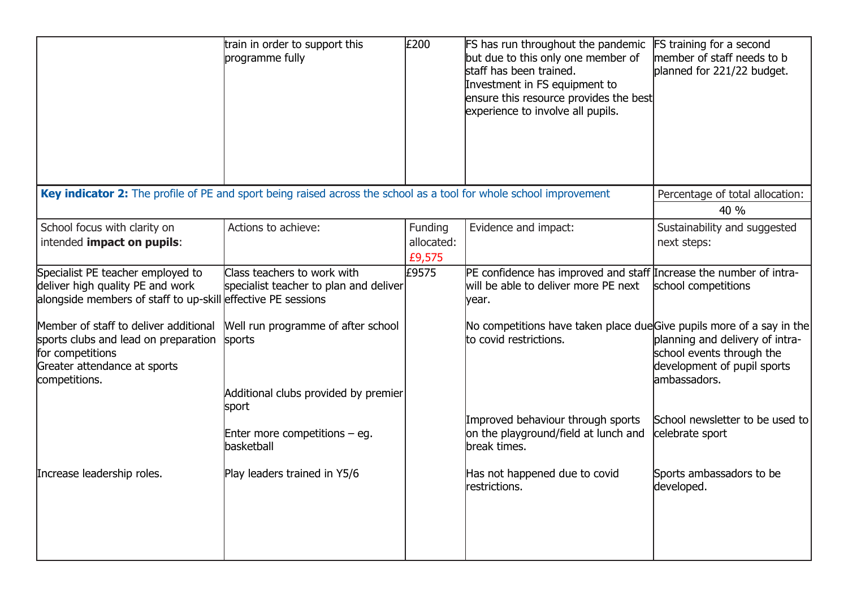|                                                                                                                                                    | train in order to support this<br>programme fully                                    | £200                            | FS has run throughout the pandemic<br>but due to this only one member of<br>staff has been trained.<br>Investment in FS equipment to<br>ensure this resource provides the best<br>experience to involve all pupils. | <b>FS training for a second</b><br>member of staff needs to b<br>planned for 221/22 budget.                 |
|----------------------------------------------------------------------------------------------------------------------------------------------------|--------------------------------------------------------------------------------------|---------------------------------|---------------------------------------------------------------------------------------------------------------------------------------------------------------------------------------------------------------------|-------------------------------------------------------------------------------------------------------------|
| Key indicator 2: The profile of PE and sport being raised across the school as a tool for whole school improvement                                 |                                                                                      |                                 |                                                                                                                                                                                                                     | Percentage of total allocation:                                                                             |
|                                                                                                                                                    |                                                                                      |                                 |                                                                                                                                                                                                                     | 40 %                                                                                                        |
| School focus with clarity on<br>intended impact on pupils:                                                                                         | Actions to achieve:                                                                  | Funding<br>allocated:<br>£9,575 | Evidence and impact:                                                                                                                                                                                                | Sustainability and suggested<br>next steps:                                                                 |
| Specialist PE teacher employed to<br>deliver high quality PE and work<br>alongside members of staff to up-skill effective PE sessions              | Class teachers to work with<br>specialist teacher to plan and deliver                | £9575                           | PE confidence has improved and staff Increase the number of intra-<br>will be able to deliver more PE next<br>year.                                                                                                 | school competitions                                                                                         |
| Member of staff to deliver additional<br>sports clubs and lead on preparation<br>for competitions<br>Greater attendance at sports<br>competitions. | Well run programme of after school<br>sports<br>Additional clubs provided by premier |                                 | No competitions have taken place dueGive pupils more of a say in the<br>to covid restrictions.                                                                                                                      | planning and delivery of intra-<br>school events through the<br>development of pupil sports<br>ambassadors. |
|                                                                                                                                                    | sport<br>Enter more competitions $-$ eg.<br>basketball                               |                                 | Improved behaviour through sports<br>on the playground/field at lunch and<br>break times.                                                                                                                           | School newsletter to be used to<br>celebrate sport                                                          |
| Increase leadership roles.                                                                                                                         | Play leaders trained in Y5/6                                                         |                                 | Has not happened due to covid<br>restrictions.                                                                                                                                                                      | Sports ambassadors to be<br>developed.                                                                      |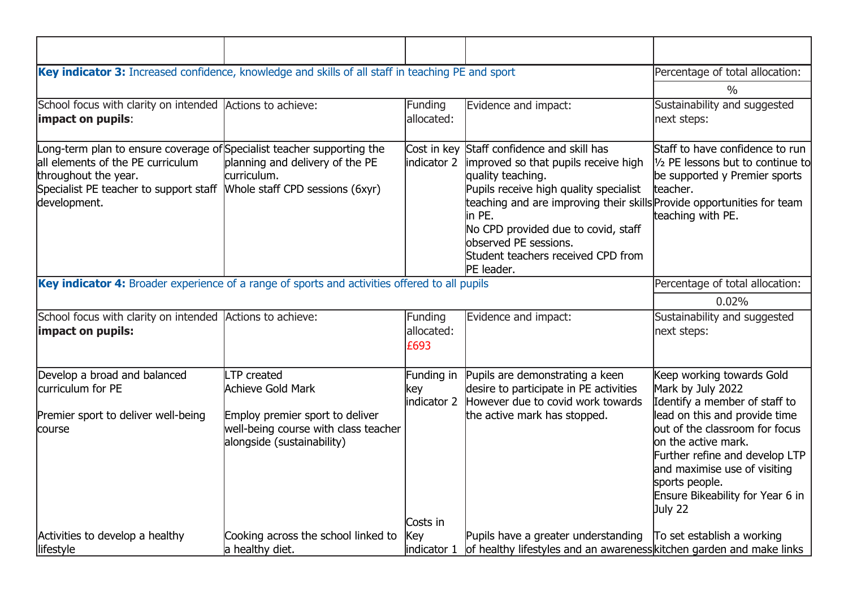| Key indicator 3: Increased confidence, knowledge and skills of all staff in teaching PE and sport                                                                                             |                                                                                                                                                  |                                              |                                                                                                                                                                                                                                                                                                                                               | Percentage of total allocation:                                                                                                                                                                                                                                                                              |
|-----------------------------------------------------------------------------------------------------------------------------------------------------------------------------------------------|--------------------------------------------------------------------------------------------------------------------------------------------------|----------------------------------------------|-----------------------------------------------------------------------------------------------------------------------------------------------------------------------------------------------------------------------------------------------------------------------------------------------------------------------------------------------|--------------------------------------------------------------------------------------------------------------------------------------------------------------------------------------------------------------------------------------------------------------------------------------------------------------|
|                                                                                                                                                                                               |                                                                                                                                                  |                                              |                                                                                                                                                                                                                                                                                                                                               | $\frac{0}{0}$                                                                                                                                                                                                                                                                                                |
| School focus with clarity on intended Actions to achieve:<br>impact on pupils:                                                                                                                |                                                                                                                                                  | Funding<br>allocated:                        | Evidence and impact:                                                                                                                                                                                                                                                                                                                          | Sustainability and suggested<br>next steps:                                                                                                                                                                                                                                                                  |
| Long-term plan to ensure coverage of Specialist teacher supporting the<br>all elements of the PE curriculum<br>throughout the year.<br>Specialist PE teacher to support staff<br>development. | planning and delivery of the PE<br>lcurriculum.<br>Whole staff CPD sessions (6xyr)                                                               | Cost in key<br>indicator 2                   | Staff confidence and skill has<br>improved so that pupils receive high<br>quality teaching.<br>Pupils receive high quality specialist<br>teaching and are improving their skills Provide opportunities for team<br>in PE.<br>No CPD provided due to covid, staff<br>observed PE sessions.<br>Student teachers received CPD from<br>PE leader. | Staff to have confidence to run<br>1/2 PE lessons but to continue to<br>be supported y Premier sports<br>teacher.<br>teaching with PE.                                                                                                                                                                       |
| Key indicator 4: Broader experience of a range of sports and activities offered to all pupils                                                                                                 |                                                                                                                                                  |                                              |                                                                                                                                                                                                                                                                                                                                               | Percentage of total allocation:                                                                                                                                                                                                                                                                              |
|                                                                                                                                                                                               | 0.02%                                                                                                                                            |                                              |                                                                                                                                                                                                                                                                                                                                               |                                                                                                                                                                                                                                                                                                              |
| School focus with clarity on intended Actions to achieve:<br>impact on pupils:                                                                                                                |                                                                                                                                                  | Funding<br>allocated:<br>£693                | Evidence and impact:                                                                                                                                                                                                                                                                                                                          | Sustainability and suggested<br>next steps:                                                                                                                                                                                                                                                                  |
| Develop a broad and balanced<br>curriculum for PE<br>Premier sport to deliver well-being<br>course                                                                                            | LTP created<br><b>Achieve Gold Mark</b><br>Employ premier sport to deliver<br>well-being course with class teacher<br>alongside (sustainability) | Funding in<br>key<br>indicator 2<br>Costs in | Pupils are demonstrating a keen<br>desire to participate in PE activities<br>However due to covid work towards<br>the active mark has stopped.                                                                                                                                                                                                | Keep working towards Gold<br>Mark by July 2022<br>Identify a member of staff to<br>lead on this and provide time<br>out of the classroom for focus<br>on the active mark.<br>Further refine and develop LTP<br>and maximise use of visiting<br>sports people.<br>Ensure Bikeability for Year 6 in<br>July 22 |
| Activities to develop a healthy<br>lifestyle                                                                                                                                                  | Cooking across the school linked to<br>a healthy diet.                                                                                           | Key<br>indicator 1                           | Pupils have a greater understanding<br>of healthy lifestyles and an awareness kitchen garden and make links                                                                                                                                                                                                                                   | To set establish a working                                                                                                                                                                                                                                                                                   |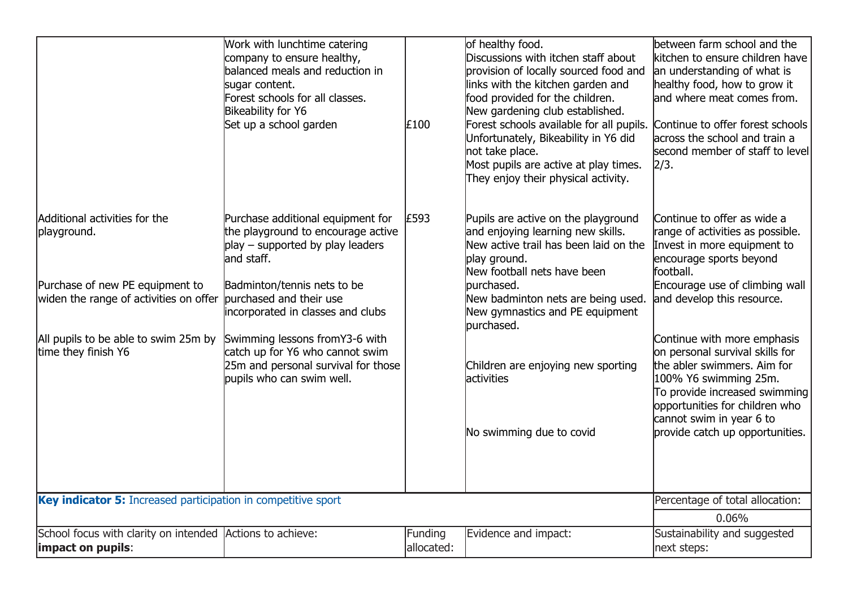|                                                                                                                                                   | Work with lunchtime catering<br>company to ensure healthy,<br>balanced meals and reduction in<br>sugar content.<br>Forest schools for all classes.<br>Bikeability for Y6<br>Set up a school garden | £100                  | of healthy food.<br>Discussions with itchen staff about<br>provision of locally sourced food and<br>links with the kitchen garden and<br>food provided for the children.<br>New gardening club established.<br>Forest schools available for all pupils.<br>Unfortunately, Bikeability in Y6 did<br>not take place.<br>Most pupils are active at play times.<br>They enjoy their physical activity. | between farm school and the<br>kitchen to ensure children have<br>an understanding of what is<br>healthy food, how to grow it<br>and where meat comes from.<br>Continue to offer forest schools<br>across the school and train a<br>second member of staff to level<br>2/3. |
|---------------------------------------------------------------------------------------------------------------------------------------------------|----------------------------------------------------------------------------------------------------------------------------------------------------------------------------------------------------|-----------------------|----------------------------------------------------------------------------------------------------------------------------------------------------------------------------------------------------------------------------------------------------------------------------------------------------------------------------------------------------------------------------------------------------|-----------------------------------------------------------------------------------------------------------------------------------------------------------------------------------------------------------------------------------------------------------------------------|
| Additional activities for the<br>playground.<br>Purchase of new PE equipment to<br>widen the range of activities on offer purchased and their use | Purchase additional equipment for<br>the playground to encourage active<br>play – supported by play leaders<br>land staff.<br>Badminton/tennis nets to be                                          | £593                  | Pupils are active on the playground<br>and enjoying learning new skills.<br>New active trail has been laid on the<br>play ground.<br>New football nets have been<br>purchased.<br>New badminton nets are being used.                                                                                                                                                                               | Continue to offer as wide a<br>range of activities as possible.<br>Invest in more equipment to<br>encourage sports beyond<br>football.<br>Encourage use of climbing wall<br>and develop this resource.                                                                      |
|                                                                                                                                                   | incorporated in classes and clubs                                                                                                                                                                  |                       | New gymnastics and PE equipment<br>burchased.                                                                                                                                                                                                                                                                                                                                                      |                                                                                                                                                                                                                                                                             |
| All pupils to be able to swim 25m by<br>time they finish Y6                                                                                       | Swimming lessons fromY3-6 with<br>catch up for Y6 who cannot swim<br>25m and personal survival for those<br>pupils who can swim well.                                                              |                       | Children are enjoying new sporting<br>lactivities                                                                                                                                                                                                                                                                                                                                                  | Continue with more emphasis<br>on personal survival skills for<br>the abler swimmers. Aim for<br>100% Y6 swimming 25m.<br>To provide increased swimming<br>opportunities for children who<br>cannot swim in year 6 to                                                       |
|                                                                                                                                                   |                                                                                                                                                                                                    |                       | No swimming due to covid                                                                                                                                                                                                                                                                                                                                                                           | provide catch up opportunities.                                                                                                                                                                                                                                             |
| Key indicator 5: Increased participation in competitive sport                                                                                     |                                                                                                                                                                                                    |                       |                                                                                                                                                                                                                                                                                                                                                                                                    | Percentage of total allocation:                                                                                                                                                                                                                                             |
|                                                                                                                                                   |                                                                                                                                                                                                    |                       |                                                                                                                                                                                                                                                                                                                                                                                                    | 0.06%                                                                                                                                                                                                                                                                       |
| School focus with clarity on intended Actions to achieve:<br>impact on pupils:                                                                    |                                                                                                                                                                                                    | Funding<br>allocated: | Evidence and impact:                                                                                                                                                                                                                                                                                                                                                                               | Sustainability and suggested<br>next steps:                                                                                                                                                                                                                                 |